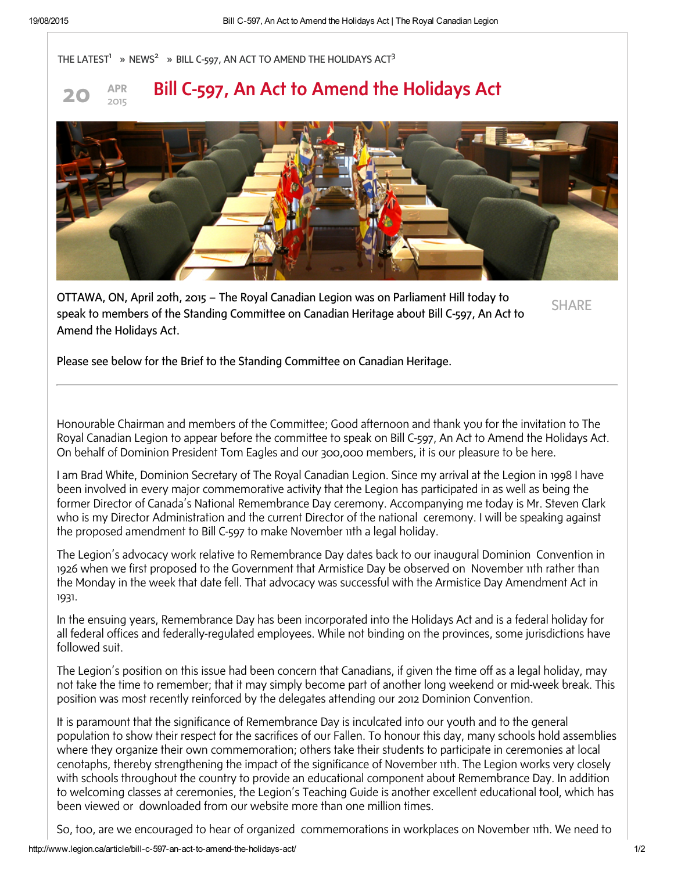



## Bill C-597, An Act to Amend the Holidays Act



OTTAWA, ON, April 20th, 2015 – The Royal Canadian Legion was on Parliament Hill today to speak to members of the Standing Committee on Canadian Heritage about Bill C-597, An Act to Amend the Holidays Act.

**SHARF** 

Please see below for the Brief to the Standing Committee on Canadian Heritage.

Honourable Chairman and members of the Committee; Good afternoon and thank you for the invitation to The Royal Canadian Legion to appear before the committee to speak on Bill C-597, An Act to Amend the Holidays Act. On behalf of Dominion President Tom Eagles and our 300,000 members, it is our pleasure to be here.

I am Brad White, Dominion Secretary of The Royal Canadian Legion. Since my arrival at the Legion in 1998 I have been involved in every major commemorative activity that the Legion has participated in as well as being the former Director of Canada's National Remembrance Day ceremony. Accompanying me today is Mr. Steven Clark who is my Director Administration and the current Director of the national ceremony. I will be speaking against the proposed amendment to Bill C-597 to make November 11th a legal holiday.

The Legion's advocacy work relative to Remembrance Day dates back to our inaugural Dominion Convention in 1926 when we first proposed to the Government that Armistice Day be observed on November 11th rather than the Monday in the week that date fell. That advocacy was successful with the Armistice Day Amendment Act in 1931.

In the ensuing years, Remembrance Day has been incorporated into the Holidays Act and is a federal holiday for all federal offices and federally-regulated employees. While not binding on the provinces, some jurisdictions have followed suit.

The Legion's position on this issue had been concern that Canadians, if given the time off as a legal holiday, may not take the time to remember; that it may simply become part of another long weekend or mid-week break. This position was most recently reinforced by the delegates attending our 2012 Dominion Convention.

It is paramount that the significance of Remembrance Day is inculcated into our youth and to the general population to show their respect for the sacrifices of our Fallen. To honour this day, many schools hold assemblies where they organize their own commemoration; others take their students to participate in ceremonies at local cenotaphs, thereby strengthening the impact of the significance of November 11th. The Legion works very closely with schools throughout the country to provide an educational component about Remembrance Day. In addition to welcoming classes at ceremonies, the Legion's Teaching Guide is another excellent educational tool, which has been viewed or downloaded from our website more than one million times.

So, too, are we encouraged to hear of organized commemorations in workplaces on November 11th. We need to